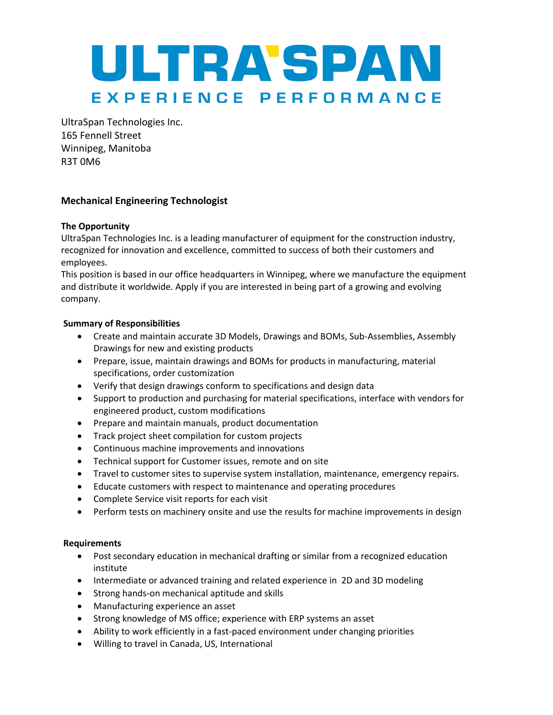

UltraSpan Technologies Inc. 165 Fennell Street Winnipeg, Manitoba R3T 0M6

## **Mechanical Engineering Technologist**

## **The Opportunity**

UltraSpan Technologies Inc. is a leading manufacturer of equipment for the construction industry, recognized for innovation and excellence, committed to success of both their customers and employees.

This position is based in our office headquarters in Winnipeg, where we manufacture the equipment and distribute it worldwide. Apply if you are interested in being part of a growing and evolving company.

## **Summary of Responsibilities**

- Create and maintain accurate 3D Models, Drawings and BOMs, Sub-Assemblies, Assembly Drawings for new and existing products
- Prepare, issue, maintain drawings and BOMs for products in manufacturing, material specifications, order customization
- Verify that design drawings conform to specifications and design data
- Support to production and purchasing for material specifications, interface with vendors for engineered product, custom modifications
- Prepare and maintain manuals, product documentation
- Track project sheet compilation for custom projects
- Continuous machine improvements and innovations
- Technical support for Customer issues, remote and on site
- Travel to customer sites to supervise system installation, maintenance, emergency repairs.
- Educate customers with respect to maintenance and operating procedures
- Complete Service visit reports for each visit
- Perform tests on machinery onsite and use the results for machine improvements in design

## **Requirements**

- Post secondary education in mechanical drafting or similar from a recognized education institute
- Intermediate or advanced training and related experience in 2D and 3D modeling
- Strong hands-on mechanical aptitude and skills
- Manufacturing experience an asset
- Strong knowledge of MS office; experience with ERP systems an asset
- Ability to work efficiently in a fast-paced environment under changing priorities
- Willing to travel in Canada, US, International